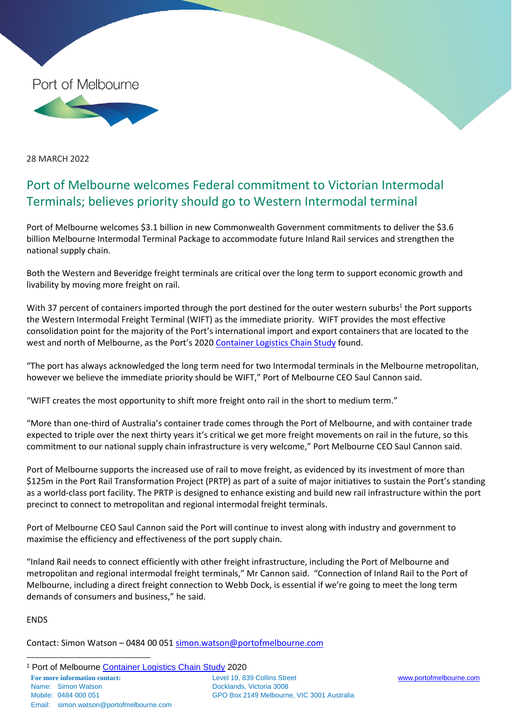

28 MARCH 2022

## Port of Melbourne welcomes Federal commitment to Victorian Intermodal Terminals; believes priority should go to Western Intermodal terminal

Port of Melbourne welcomes \$3.1 billion in new Commonwealth Government commitments to deliver the \$3.6 billion Melbourne Intermodal Terminal Package to accommodate future Inland Rail services and strengthen the national supply chain.

Both the Western and Beveridge freight terminals are critical over the long term to support economic growth and livability by moving more freight on rail.

With 37 percent of containers imported through the port destined for the outer western suburbs<sup>1</sup> the Port supports the Western Intermodal Freight Terminal (WIFT) as the immediate priority. WIFT provides the most effective consolidation point for the majority of the Port's international import and export containers that are located to the west and north of Melbourne, as the Port's 2020 [Container Logistics Chain Study](https://www.portofmelbourne.com/facilities-development/2020-logistics-study/) found.

"The port has always acknowledged the long term need for two Intermodal terminals in the Melbourne metropolitan, however we believe the immediate priority should be WIFT," Port of Melbourne CEO Saul Cannon said.

"WIFT creates the most opportunity to shift more freight onto rail in the short to medium term."

"More than one-third of Australia's container trade comes through the Port of Melbourne, and with container trade expected to triple over the next thirty years it's critical we get more freight movements on rail in the future, so this commitment to our national supply chain infrastructure is very welcome," Port Melbourne CEO Saul Cannon said.

Port of Melbourne supports the increased use of rail to move freight, as evidenced by its investment of more than \$125m in the Port Rail Transformation Project (PRTP) as part of a suite of major initiatives to sustain the Port's standing as a world-class port facility. The PRTP is designed to enhance existing and build new rail infrastructure within the port precinct to connect to metropolitan and regional intermodal freight terminals.

Port of Melbourne CEO Saul Cannon said the Port will continue to invest along with industry and government to maximise the efficiency and effectiveness of the port supply chain.

"Inland Rail needs to connect efficiently with other freight infrastructure, including the Port of Melbourne and metropolitan and regional intermodal freight terminals," Mr Cannon said. "Connection of Inland Rail to the Port of Melbourne, including a direct freight connection to Webb Dock, is essential if we're going to meet the long term demands of consumers and business," he said.

ENDS

Contact: Simon Watson – 0484 00 051 [simon.watson@portofmelbourne.com](mailto:simon.watson@portofmelbourne.com)

**For more information contact:** Level 19, 839 Collins Street [www.portofmelbourne.com](http://www.portofmelbourne.com/) Name: Simon Watson **Docklands**, Victoria 3008 Mobile: 0484 000 051 GPO Box 2149 Melbourne, VIC 3001 Australia Email: simon.watson@portofmelbourne.com  $\overline{a}$ <sup>1</sup> Port of Melbourne [Container Logistics Chain Study](https://www.portofmelbourne.com/facilities-development/2020-logistics-study/) 2020